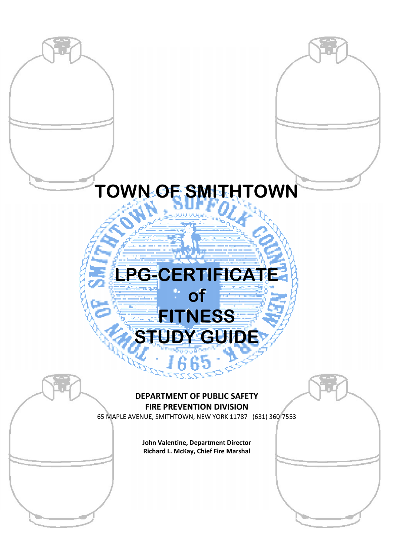# **TOWN OF SMITHTOWN**

# **LPG LPG-CERTIFICATE** STUDY GUIDE **of FITNESS CERTIFICATE**<br> **CONTINESS**<br> **CONTINESS**<br> **CONTINESS**<br> **CONTINESS**<br> **CONTINESS**<br> **CONTINESS**<br> **CONTINESS**<br> **CONTINESS**<br> **CONTINESS**<br> **CONTINESS**<br> **CONTINESS**<br> **CONTINESS**<br> **CONTINESS**<br> **CONTINESS**<br> **CONTINESS**<br> **CONTINESS**<br>

# **DEPARTMENT OF PUBLIC SAFETY FIRE PREVENTION DIVISION**

65 MAPLE AVENUE, SMITHTOWN, NEW YORK 11787 (631) 360 (631)

**John Valentine, Department Director Richard L. McKay, Chief Fire Marshal** 

**i| Town of Smithtown LPG-Certificate of Fitness Study Guide**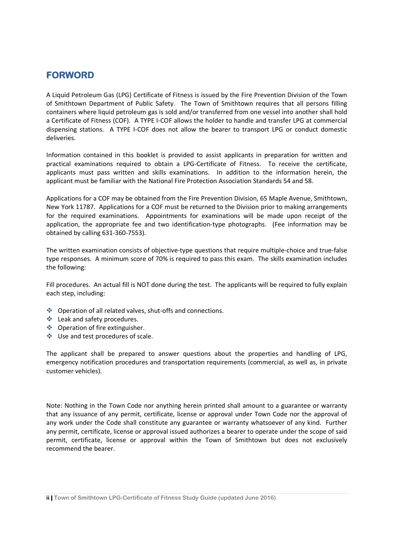# **FORWORD FORWORD**

A Liquid Petroleum Gas (LPG) Certificate of Fitness is issued by the Fire Prevention Division of the Town of Smithtown Department of Public Safety. The Town of Smithtown requires that all persons filling containers where liquid petroleum gas is sold and/or transferred from one vessel into another shall hold a Certificate of Fitness (COF). A TYPE I-COF allows the holder to handle and transfer LPG at commercial dispensing stations. A TYPE I-COF does not allow the bearer to transport LPG or conduct domestic deliveries.

Information contained in this booklet is provided to assist applicants in preparation for written and practical examinations required to obtain a LPG-Certificate of Fitness. To receive the certificate, applicants must pass written and skills examinations. In addition to the information herein, the applicant must be familiar with the National Fire Protection Association Standards 54 and 58.

Applications for a COF may be obtained from the Fire Prevention Division, 65 Maple Avenue, Smithtown, New York 11787. Applications for a COF must be returned to the Division prior to making arrangements for the required examinations. Appointments for examinations will be made upon receipt of the application, the appropriate fee and two identification-type photographs. (Fee information may be obtained by calling 631-360-7553).

The written examination consists of objective-type questions that require multiple-choice and true-false type responses. A minimum score of 70% is required to pass this exam. The skills examination includes the following:

Fill procedures. An actual fill is NOT done during the test. The applicants will be required to fully explain each step, including:

- ◆ Operation of all related valves, shut-offs and connections.
- ❖ Leak and safety procedures.
- ❖ Operation of fire extinguisher.
- ❖ Use and test procedures of scale.

The applicant shall be prepared to answer questions about the properties and handling of LPG, emergency notification procedures and transportation requirements (commercial, as well as, in private customer vehicles).

Note: Nothing in the Town Code nor anything herein printed shall amount to a guarantee or warranty that any issuance of any permit, certificate, license or approval under Town Code nor the approval of any work under the Code shall constitute any guarantee or warranty whatsoever of any kind. Further any permit, certificate, license or approval issued authorizes a bearer to operate under the scope of said permit, certificate, license or approval within the Town of Smithtown but does not exclusively recommend the bearer.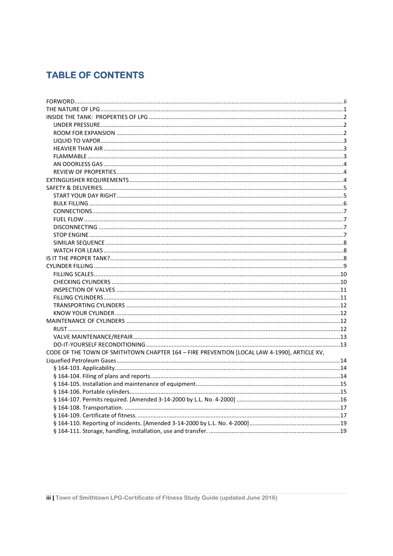# **TABLE OF CONTENTS**

| CODE OF THE TOWN OF SMITHTOWN CHAPTER 164 - FIRE PREVENTION [LOCAL LAW 4-1990], ARTICLE XV, |  |
|---------------------------------------------------------------------------------------------|--|
|                                                                                             |  |
|                                                                                             |  |
|                                                                                             |  |
|                                                                                             |  |
|                                                                                             |  |
|                                                                                             |  |
|                                                                                             |  |
|                                                                                             |  |
|                                                                                             |  |
|                                                                                             |  |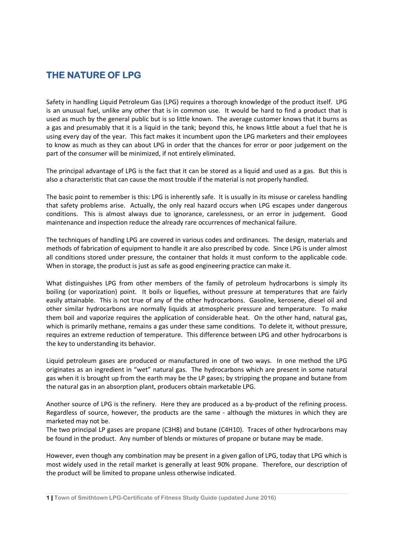# **THE NATURE OF LPG**

Safety in handling Liquid Petroleum Gas (LPG) requires a thorough knowledge of the product itself. LPG is an unusual fuel, unlike any other that is in common use. It would be hard to find a product that is used as much by the general public but is so little known. The average customer knows that it burns as a gas and presumably that it is a liquid in the tank; beyond this, he knows little about a fuel that he is using every day of the year. This fact makes it incumbent upon the LPG marketers and their employees to know as much as they can about LPG in order that the chances for error or poor judgement on the part of the consumer will be minimized, if not entirely eliminated.

The principal advantage of LPG is the fact that it can be stored as a liquid and used as a gas. But this is also a characteristic that can cause the most trouble if the material is not properly handled.

The basic point to remember is this: LPG is inherently safe. It is usually in its misuse or careless handling that safety problems arise. Actually, the only real hazard occurs when LPG escapes under dangerous conditions. This is almost always due to ignorance, carelessness, or an error in judgement. Good maintenance and inspection reduce the already rare occurrences of mechanical failure.

The techniques of handling LPG are covered in various codes and ordinances. The design, materials and methods of fabrication of equipment to handle it are also prescribed by code. Since LPG is under almost all conditions stored under pressure, the container that holds it must conform to the applicable code. When in storage, the product is just as safe as good engineering practice can make it.

What distinguishes LPG from other members of the family of petroleum hydrocarbons is simply its boiling (or vaporization) point. It boils or liquefies, without pressure at temperatures that are fairly easily attainable. This is not true of any of the other hydrocarbons. Gasoline, kerosene, diesel oil and other similar hydrocarbons are normally liquids at atmospheric pressure and temperature. To make them boil and vaporize requires the application of considerable heat. On the other hand, natural gas, which is primarily methane, remains a gas under these same conditions. To delete it, without pressure, requires an extreme reduction of temperature. This difference between LPG and other hydrocarbons is the key to understanding its behavior.

Liquid petroleum gases are produced or manufactured in one of two ways. In one method the LPG originates as an ingredient in "wet" natural gas. The hydrocarbons which are present in some natural gas when it is brought up from the earth may be the LP gases; by stripping the propane and butane from the natural gas in an absorption plant, producers obtain marketable LPG.

Another source of LPG is the refinery. Here they are produced as a by-product of the refining process. Regardless of source, however, the products are the same - although the mixtures in which they are marketed may not be.

The two principal LP gases are propane (C3H8) and butane (C4H10). Traces of other hydrocarbons may be found in the product. Any number of blends or mixtures of propane or butane may be made.

However, even though any combination may be present in a given gallon of LPG, today that LPG which is most widely used in the retail market is generally at least 90% propane. Therefore, our description of the product will be limited to propane unless otherwise indicated.

**<sup>1|</sup> Town of Smithtown LPG-Certificate of Fitness Study Guide (updated June 2016)**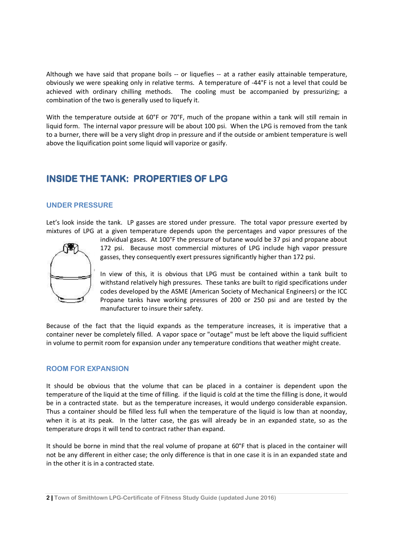Although we have said that propane boils -- or liquefies -- at a rather easily attainable temperature, obviously we were speaking only in relative terms. A temperature of -44°F is not a level that could be achieved with ordinary chilling methods. The cooling must be accompanied by pressurizing; a combination of the two is generally used to liquefy it.

With the temperature outside at 60°F or 70°F, much of the propane within a tank will still remain in liquid form. The internal vapor pressure will be about 100 psi. When the LPG is removed from the tank to a burner, there will be a very slight drop in pressure and if the outside or ambient temperature is well above the liquification point some liquid will vaporize or gasify.

# **INSIDE THE TANK: PROPERTIES OF LPG**

# **UNDER PRESSURE**

Let's look inside the tank. LP gasses are stored under pressure. The total vapor pressure exerted by mixtures of LPG at a given temperature depends upon the percentages and vapor pressures of the



individual gases. At 100°F the pressure of butane would be 37 psi and propane about 172 psi. Because most commercial mixtures of LPG include high vapor pressure gasses, they consequently exert pressures significantly higher than 172 psi.

In view of this, it is obvious that LPG must be contained within a tank built to withstand relatively high pressures. These tanks are built to rigid specifications under codes developed by the ASME (American Society of Mechanical Engineers) or the ICC Propane tanks have working pressures of 200 or 250 psi and are tested by the manufacturer to insure their safety.

Because of the fact that the liquid expands as the temperature increases, it is imperative that a container never be completely filled. A vapor space or "outage" must be left above the liquid sufficient in volume to permit room for expansion under any temperature conditions that weather might create.

# **ROOM FOR EXPANSION**

It should be obvious that the volume that can be placed in a container is dependent upon the temperature of the liquid at the time of filling. if the liquid is cold at the time the filling is done, it would be in a contracted state. but as the temperature increases, it would undergo considerable expansion. Thus a container should be filled less full when the temperature of the liquid is low than at noonday, when it is at its peak. In the latter case, the gas will already be in an expanded state, so as the temperature drops it will tend to contract rather than expand.

It should be borne in mind that the real volume of propane at 60°F that is placed in the container will not be any different in either case; the only difference is that in one case it is in an expanded state and in the other it is in a contracted state.

**2| Town of Smithtown LPG-Certificate of Fitness Study Guide (updated June 2016)**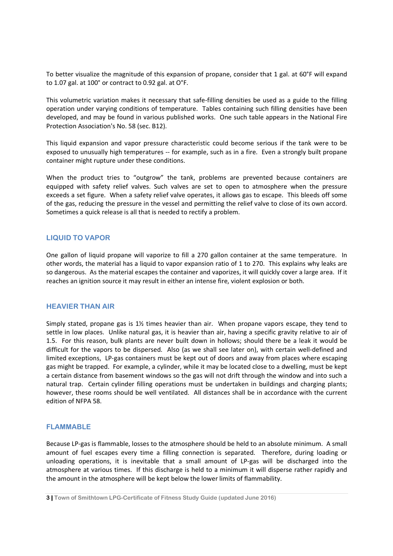To better visualize the magnitude of this expansion of propane, consider that 1 gal. at 60°F will expand to 1.07 gal. at 100° or contract to 0.92 gal. at O°F.

This volumetric variation makes it necessary that safe-filling densities be used as a guide to the filling operation under varying conditions of temperature. Tables containing such filling densities have been developed, and may be found in various published works. One such table appears in the National Fire Protection Association's No. 58 (sec. B12).

This liquid expansion and vapor pressure characteristic could become serious if the tank were to be exposed to unusually high temperatures -- for example, such as in a fire. Even a strongly built propane container might rupture under these conditions.

When the product tries to "outgrow" the tank, problems are prevented because containers are equipped with safety relief valves. Such valves are set to open to atmosphere when the pressure exceeds a set figure. When a safety relief valve operates, it allows gas to escape. This bleeds off some of the gas, reducing the pressure in the vessel and permitting the relief valve to close of its own accord. Sometimes a quick release is all that is needed to rectify a problem.

# **LIQUID TO VAPOR**

One gallon of liquid propane will vaporize to fill a 270 gallon container at the same temperature. In other words, the material has a liquid to vapor expansion ratio of 1 to 270. This explains why leaks are so dangerous. As the material escapes the container and vaporizes, it will quickly cover a large area. If it reaches an ignition source it may result in either an intense fire, violent explosion or both.

# **HEAVIER THAN AIR**

Simply stated, propane gas is  $1\frac{1}{2}$  times heavier than air. When propane vapors escape, they tend to settle in low places. Unlike natural gas, it is heavier than air, having a specific gravity relative to air of 1.5. For this reason, bulk plants are never built down in hollows; should there be a leak it would be difficult for the vapors to be dispersed. Also (as we shall see later on), with certain well-defined and limited exceptions, LP-gas containers must be kept out of doors and away from places where escaping gas might be trapped. For example, a cylinder, while it may be located close to a dwelling, must be kept a certain distance from basement windows so the gas will not drift through the window and into such a natural trap. Certain cylinder filling operations must be undertaken in buildings and charging plants; however, these rooms should be well ventilated. All distances shall be in accordance with the current edition of NFPA 58.

# **FLAMMABLE**

Because LP-gas is flammable, losses to the atmosphere should be held to an absolute minimum. A small amount of fuel escapes every time a filling connection is separated. Therefore, during loading or unloading operations, it is inevitable that a small amount of LP-gas will be discharged into the atmosphere at various times. If this discharge is held to a minimum it will disperse rather rapidly and the amount in the atmosphere will be kept below the lower limits of flammability.

**<sup>3|</sup> Town of Smithtown LPG-Certificate of Fitness Study Guide (updated June 2016)**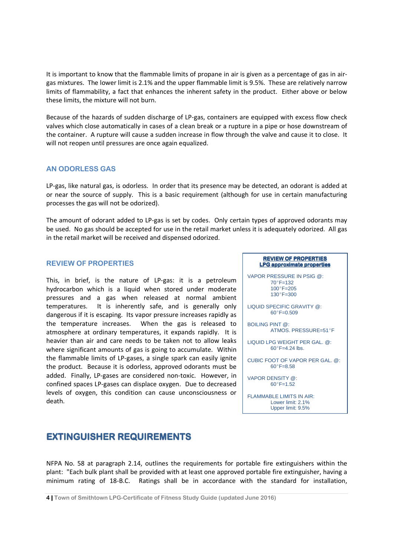It is important to know that the flammable limits of propane in air is given as a percentage of gas in airgas mixtures. The lower limit is 2.1% and the upper flammable limit is 9.5%. These are relatively narrow limits of flammability, a fact that enhances the inherent safety in the product. Either above or below these limits, the mixture will not burn.

Because of the hazards of sudden discharge of LP-gas, containers are equipped with excess flow check valves which close automatically in cases of a clean break or a rupture in a pipe or hose downstream of the container. A rupture will cause a sudden increase in flow through the valve and cause it to close. It will not reopen until pressures are once again equalized.

# **AN ODORLESS GAS**

LP-gas, like natural gas, is odorless. In order that its presence may be detected, an odorant is added at or near the source of supply. This is a basic requirement (although for use in certain manufacturing processes the gas will not be odorized).

The amount of odorant added to LP-gas is set by codes. Only certain types of approved odorants may be used. No gas should be accepted for use in the retail market unless it is adequately odorized. All gas in the retail market will be received and dispensed odorized.

# **REVIEW OF PROPERTIES**

This, in brief, is the nature of LP-gas: it is a petroleum hydrocarbon which is a liquid when stored under moderate pressures and a gas when released at normal ambient temperatures. It is inherently safe, and is generally only dangerous if it is escaping. Its vapor pressure increases rapidly as the temperature increases. When the gas is released to atmosphere at ordinary temperatures, it expands rapidly. It is heavier than air and care needs to be taken not to allow leaks where significant amounts of gas is going to accumulate. Within the flammable limits of LP-gases, a single spark can easily ignite the product. Because it is odorless, approved odorants must be added. Finally, LP-gases are considered non-toxic. However, in confined spaces LP-gases can displace oxygen. Due to decreased levels of oxygen, this condition can cause unconsciousness or death.

### **REVIEW OF PROPERTIES LPG approximate properties**

VAPOR PRESSURE IN PSIG @:  $70^{\circ}F - 132$ 100°F=205  $130^{\circ}$ F=300

LIQUID SPECIFIC GRAVITY @:  $60^{\circ}$ F=0.509

BOILING PINT @: ATMOS. PRESSURE=51°F

LIQUID LPG WEIGHT PER GAL. @:  $60^\circ$ F=4.24 lbs.

CUBIC FOOT OF VAPOR PER GAL. @:  $60^{\circ}$ F=8.58

VAPOR DENSITY @:  $60^{\circ}$ F=1.52

FLAMMABLE LIMITS IN AIR: Lower limit: 2.1% Upper limit: 9.5%

# **EXTINGUISHER REQUIREMENTS**

NFPA No. 58 at paragraph 2.14, outlines the requirements for portable fire extinguishers within the plant: "Each bulk plant shall be provided with at least one approved portable fire extinguisher, having a minimum rating of 18-B.C. Ratings shall be in accordance with the standard for installation,

**<sup>4|</sup> Town of Smithtown LPG-Certificate of Fitness Study Guide (updated June 2016)**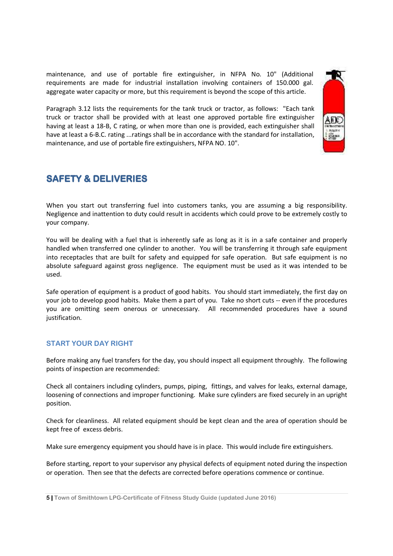maintenance, and use of portable fire extinguisher, in NFPA No. 10" (Additional requirements are made for industrial installation involving containers of 150.000 gal. aggregate water capacity or more, but this requirement is beyond the scope of this article.

Paragraph 3.12 lists the requirements for the tank truck or tractor, as follows: "Each tank truck or tractor shall be provided with at least one approved portable fire extinguisher having at least a 18-B, C rating, or when more than one is provided, each extinguisher shall have at least a 6-B.C. rating ...ratings shall be in accordance with the standard for installation, maintenance, and use of portable fire extinguishers, NFPA NO. 10".

# **SAFETY & DELIVERIES**

When you start out transferring fuel into customers tanks, you are assuming a big responsibility. Negligence and inattention to duty could result in accidents which could prove to be extremely costly to your company.

You will be dealing with a fuel that is inherently safe as long as it is in a safe container and properly handled when transferred one cylinder to another. You will be transferring it through safe equipment into receptacles that are built for safety and equipped for safe operation. But safe equipment is no absolute safeguard against gross negligence. The equipment must be used as it was intended to be used.

Safe operation of equipment is a product of good habits. You should start immediately, the first day on your job to develop good habits. Make them a part of you. Take no short cuts -- even if the procedures you are omitting seem onerous or unnecessary. All recommended procedures have a sound justification.

# **START YOUR DAY RIGHT**

Before making any fuel transfers for the day, you should inspect all equipment throughly. The following points of inspection are recommended:

Check all containers including cylinders, pumps, piping, fittings, and valves for leaks, external damage, loosening of connections and improper functioning. Make sure cylinders are fixed securely in an upright position.

Check for cleanliness. All related equipment should be kept clean and the area of operation should be kept free of excess debris.

Make sure emergency equipment you should have is in place. This would include fire extinguishers.

Before starting, report to your supervisor any physical defects of equipment noted during the inspection or operation. Then see that the defects are corrected before operations commence or continue.

**<sup>5|</sup> Town of Smithtown LPG-Certificate of Fitness Study Guide (updated June 2016)**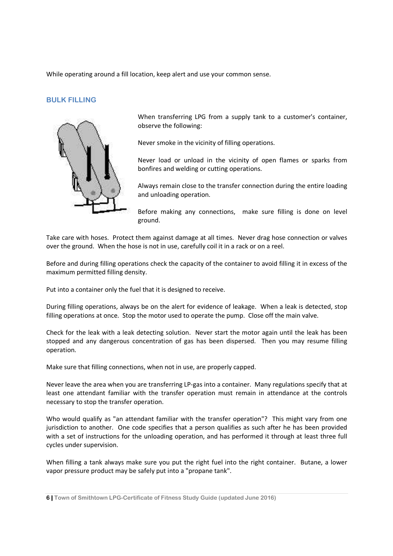While operating around a fill location, keep alert and use your common sense.

# **BULK FILLING**



When transferring LPG from a supply tank to a customer's container, observe the following:

Never smoke in the vicinity of filling operations.

Never load or unload in the vicinity of open flames or sparks from bonfires and welding or cutting operations.

Always remain close to the transfer connection during the entire loading and unloading operation.

Before making any connections, make sure filling is done on level ground.

Take care with hoses. Protect them against damage at all times. Never drag hose connection or valves over the ground. When the hose is not in use, carefully coil it in a rack or on a reel.

Before and during filling operations check the capacity of the container to avoid filling it in excess of the maximum permitted filling density.

Put into a container only the fuel that it is designed to receive.

During filling operations, always be on the alert for evidence of leakage. When a leak is detected, stop filling operations at once. Stop the motor used to operate the pump. Close off the main valve.

Check for the leak with a leak detecting solution. Never start the motor again until the leak has been stopped and any dangerous concentration of gas has been dispersed. Then you may resume filling operation.

Make sure that filling connections, when not in use, are properly capped.

Never leave the area when you are transferring LP-gas into a container. Many regulations specify that at least one attendant familiar with the transfer operation must remain in attendance at the controls necessary to stop the transfer operation.

Who would qualify as "an attendant familiar with the transfer operation"? This might vary from one jurisdiction to another. One code specifies that a person qualifies as such after he has been provided with a set of instructions for the unloading operation, and has performed it through at least three full cycles under supervision.

When filling a tank always make sure you put the right fuel into the right container. Butane, a lower vapor pressure product may be safely put into a "propane tank".

**6| Town of Smithtown LPG-Certificate of Fitness Study Guide (updated June 2016)**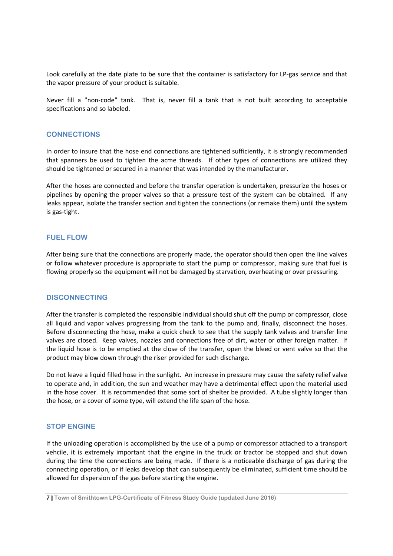Look carefully at the date plate to be sure that the container is satisfactory for LP-gas service and that the vapor pressure of your product is suitable.

Never fill a "non-code" tank. That is, never fill a tank that is not built according to acceptable specifications and so labeled.

### **CONNECTIONS**

In order to insure that the hose end connections are tightened sufficiently, it is strongly recommended that spanners be used to tighten the acme threads. If other types of connections are utilized they should be tightened or secured in a manner that was intended by the manufacturer.

After the hoses are connected and before the transfer operation is undertaken, pressurize the hoses or pipelines by opening the proper valves so that a pressure test of the system can be obtained. If any leaks appear, isolate the transfer section and tighten the connections (or remake them) until the system is gas-tight.

### **FUEL FLOW**

After being sure that the connections are properly made, the operator should then open the line valves or follow whatever procedure is appropriate to start the pump or compressor, making sure that fuel is flowing properly so the equipment will not be damaged by starvation, overheating or over pressuring.

# **DISCONNECTING**

After the transfer is completed the responsible individual should shut off the pump or compressor, close all liquid and vapor valves progressing from the tank to the pump and, finally, disconnect the hoses. Before disconnecting the hose, make a quick check to see that the supply tank valves and transfer line valves are closed. Keep valves, nozzles and connections free of dirt, water or other foreign matter. If the liquid hose is to be emptied at the close of the transfer, open the bleed or vent valve so that the product may blow down through the riser provided for such discharge.

Do not leave a liquid filled hose in the sunlight. An increase in pressure may cause the safety relief valve to operate and, in addition, the sun and weather may have a detrimental effect upon the material used in the hose cover. It is recommended that some sort of shelter be provided. A tube slightly longer than the hose, or a cover of some type, will extend the life span of the hose.

# **STOP ENGINE**

If the unloading operation is accomplished by the use of a pump or compressor attached to a transport vehcile, it is extremely important that the engine in the truck or tractor be stopped and shut down during the time the connections are being made. If there is a noticeable discharge of gas during the connecting operation, or if leaks develop that can subsequently be eliminated, sufficient time should be allowed for dispersion of the gas before starting the engine.

**<sup>7|</sup> Town of Smithtown LPG-Certificate of Fitness Study Guide (updated June 2016)**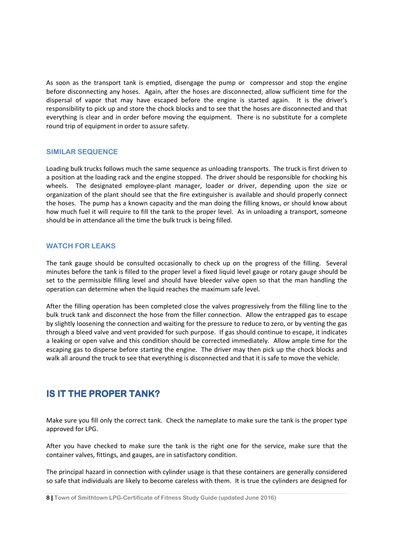As soon as the transport tank is emptied, disengage the pump or compressor and stop the engine before disconnecting any hoses. Again, after the hoses are disconnected, allow sufficient time for the dispersal of vapor that may have escaped before the engine is started again. It is the driver's responsibility to pick up and store the chock blocks and to see that the hoses are disconnected and that everything is clear and in order before moving the equipment. There is no substitute for a complete round trip of equipment in order to assure safety.

# **SIMILAR SEQUENCE**

Loading bulk trucks follows much the same sequence as unloading transports. The truck is first driven to a position at the loading rack and the engine stopped. The driver should be responsible for chocking his wheels. The designated employee-plant manager, loader or driver, depending upon the size or organization of the plant should see that the fire extinguisher is available and should properly connect the hoses. The pump has a known capacity and the man doing the filling knows, or should know about how much fuel it will require to fill the tank to the proper level. As in unloading a transport, someone should be in attendance all the time the bulk truck is being filled.

# **WATCH FOR LEAKS**

The tank gauge should be consulted occasionally to check up on the progress of the filling. Several minutes before the tank is filled to the proper level a fixed liquid level gauge or rotary gauge should be set to the permissible filling level and should have bleeder valve open so that the man handling the operation can determine when the liquid reaches the maximum safe level.

After the filling operation has been completed close the valves progressively from the filling line to the bulk truck tank and disconnect the hose from the filler connection. Allow the entrapped gas to escape by slightly loosening the connection and waiting for the pressure to reduce to zero, or by venting the gas through a bleed valve and vent provided for such purpose. If gas should continue to escape, it indicates a leaking or open valve and this condition should be corrected immediately. Allow ample time for the escaping gas to disperse before starting the engine. The driver may then pick up the chock blocks and walk all around the truck to see that everything is disconnected and that it is safe to move the vehicle.

# **IS IT THE PROPER TANK?**

Make sure you fill only the correct tank. Check the nameplate to make sure the tank is the proper type approved for LPG.

After you have checked to make sure the tank is the right one for the service, make sure that the container valves, fittings, and gauges, are in satisfactory condition.

The principal hazard in connection with cylinder usage is that these containers are generally considered so safe that individuals are likely to become careless with them. It is true the cylinders are designed for

**<sup>8|</sup> Town of Smithtown LPG-Certificate of Fitness Study Guide (updated June 2016)**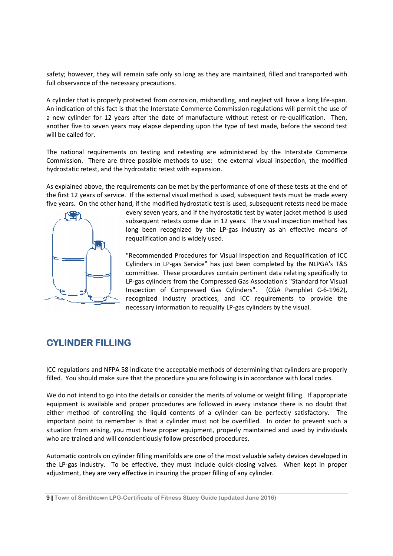safety; however, they will remain safe only so long as they are maintained, filled and transported with full observance of the necessary precautions.

A cylinder that is properly protected from corrosion, mishandling, and neglect will have a long life<br>An indication of this fact is that the Interstate Commerce Commission regulations will permit the<br>a new cylinder for 12 y An indication of this fact is that the Interstate Commerce Commission regulations will permit the use of An indication of this fact is that the Interstate Commerce Commission regulations will permit the use of<br>a new cylinder for 12 years after the date of manufacture without retest or re-qualification. Then, another five to seven years may elapse depending upon the type of test made, before the second test will be called for.

The national requirements on testing and retesting are administered by the Interstate Commerce Commission. There are three possible methods to use: the external visual inspection, the modified hydrostatic retest, and the hydrostatic retest with expansion. Commission. There are three possible methods to use: the external visual inspection, the modified<br>hydrostatic retest, and the hydrostatic retest with expansion.<br>As explained above, the requirements can be met by the perfor

the first 12 years of service. If the external visual method is used, subsequent tests must be made every five years. On the other hand, if the modified hydrostatic test is used, subsequent retests need be made If the external visual method is used, subsequent tests must be made every<br>nd, if the modified hydrostatic test is used, subsequent retests need be made<br>every seven years, and if the hydrostatic test by water jacket method ve, the requirements can be met by the performance of one of these tests at the end of of service. If the external visual method is used, subsequent tests must be made every about the modified hydrostatic test is used, sub



subsequent retests come due in 12 years. The visual inspection method has<br>long been recognized by the LP-gas industry as an effective means of<br>requalification and is widely used.<br>"Recommended Procedures for Visual Inspecti long been recognized by the LP-gas industry as an effective means of requalification and is widely used.

"Recommended Procedu Procedures for Visual Inspection and Requalification of ICC Cylinders in LP LP-gas Service" has just been completed by the NLPGA's T&S committee. These procedures contain pertinent data relating specifically to LP-gas cylinders from the Compressed Gas Association's "Standard for Visual LP-gas cylinders from the Compressed Gas Association's "Standard for Visual Inspection of Compressed Gas Cylinders". (CGA Pamphlet C-6-1962), recognized industry practices, and ICC requirements to provide the necessary information to requalify LP-gas cylinders by the visual. gas cylinders from the Compressed Gas Association's "Standa<br>pection of Compressed Gas Cylinders". (CGA Pamphlei<br>ognized industry practices, and ICC requirements to<br>cessary information to requalify LP-gas cylinders by the v ined, filled and transported with<br>neglect will have a long life-span.<br>regulations will permit the use of<br>retest or re-qualification. Then,<br>set made, before the second test<br>ed by the Interstate Commerce<br>al visual inspection

# **CYLINDER FILLING**

ICC regulations and NFPA 58 indicate the acceptable methods of determining that cylinders are properly filled. You should make sure that the procedure you are following is in accordance with local codes. ICC regulations and NFPA 58 indicate the acceptable methods of determining that cylinders are properly<br>filled. You should make sure that the procedure you are following is in accordance with local codes.<br>We do not intend t

equipment is available and proper procedures are followed in every instance there is no doubt that either method of controlling the liquid contents of a cylinder can be perfectly satisfactory. The important point to remember is that a cylinder must not be overfilled. In order to prevent such a situation from arising, you must have proper equipment, properly maintained and used by individuals who are trained and will conscientiously follow prescribed procedures. procedures are followed in every instance there is<br>iquid contents of a cylinder can be perfectly sa-<br>at a cylinder must not be overfilled. In order to<br>ve proper equipment, properly maintained and use<br>usly follow prescribed fy LP-gas cylinders by the visual.<br>
So of determining that cylinders are proper<br>
owing is in accordance with local codes.<br>
Its of volume or weight filling. If appropria<br>
d in every instance there is no doubt th<br>
linder can

Automatic controls on cylinder filling manifolds are one of the most valuable safety devices developed in the LP-gas industry. To be effective, they must include quick-closing valves. When kept in proper adjustment, they are very effective in insuring the proper filling of any cylinder.

**9 | Town of Smithtown LPG-Certificate of Fitness Study Guide (updated June 2016)**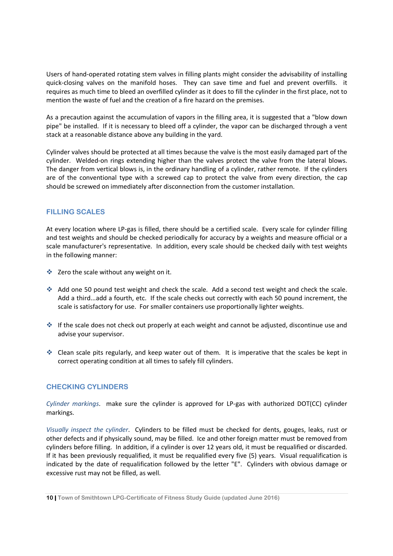Users of hand-operated rotating stem valves in filling plants might consider the advisability of installing quick-closing valves on the manifold hoses. They can save time and fuel and prevent overfills. it requires as much time to bleed an overfilled cylinder as it does to fill the cylinder in the first place, not to mention the waste of fuel and the creation of a fire hazard on the premises.

As a precaution against the accumulation of vapors in the filling area, it is suggested that a "blow down pipe" be installed. If it is necessary to bleed off a cylinder, the vapor can be discharged through a vent stack at a reasonable distance above any building in the yard.

Cylinder valves should be protected at all times because the valve is the most easily damaged part of the cylinder. Welded-on rings extending higher than the valves protect the valve from the lateral blows. The danger from vertical blows is, in the ordinary handling of a cylinder, rather remote. If the cylinders are of the conventional type with a screwed cap to protect the valve from every direction, the cap should be screwed on immediately after disconnection from the customer installation.

# **FILLING SCALES**

At every location where LP-gas is filled, there should be a certified scale. Every scale for cylinder filling and test weights and should be checked periodically for accuracy by a weights and measure official or a scale manufacturer's representative. In addition, every scale should be checked daily with test weights in the following manner:

- $\triangleq$  Zero the scale without any weight on it.
- Add one 50 pound test weight and check the scale. Add a second test weight and check the scale. Add a third...add a fourth, etc. If the scale checks out correctly with each 50 pound increment, the scale is satisfactory for use. For smaller containers use proportionally lighter weights.
- $\cdot$  If the scale does not check out properly at each weight and cannot be adjusted, discontinue use and advise your supervisor.
- Clean scale pits regularly, and keep water out of them. It is imperative that the scales be kept in correct operating condition at all times to safely fill cylinders.

# **CHECKING CYLINDERS**

*Cylinder markings*. make sure the cylinder is approved for LP-gas with authorized DOT(CC) cylinder markings.

*Visually inspect the cylinder*. Cylinders to be filled must be checked for dents, gouges, leaks, rust or other defects and if physically sound, may be filled. Ice and other foreign matter must be removed from cylinders before filling. In addition, if a cylinder is over 12 years old, it must be requalified or discarded. If it has been previously requalified, it must be requalified every five (5) years. Visual requalification is indicated by the date of requalification followed by the letter "E". Cylinders with obvious damage or excessive rust may not be filled, as well.

**<sup>10|</sup> Town of Smithtown LPG-Certificate of Fitness Study Guide (updated June 2016)**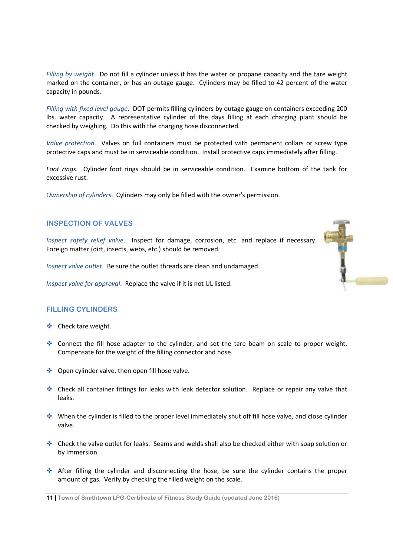*Filling by weight*. Do not fill a cylinder unless it has the water or propane capacity and the tare weight marked on the container, or has an outage gauge. Cylinders may be filled to 42 percent of the water capacity in pounds.

*Filling with fixed level gauge*. DOT permits filling cylinders by outage gauge on containers exceeding 200 lbs. water capacity. A representative cylinder of the days filling at each charging plant should be checked by weighing. Do this with the charging hose disconnected.

*Valve protection*. Valves on full containers must be protected with permanent collars or screw type protective caps and must be in serviceable condition. Install protective caps immediately after filling.

*Foot rings*. Cylinder foot rings should be in serviceable condition. Examine bottom of the tank for excessive rust.

*Ownership of cylinders*. Cylinders may only be filled with the owner's permission.

# **INSPECTION OF VALVES**

*Inspect safety relief valve*. Inspect for damage, corrosion, etc. and replace if necessary. Foreign matter (dirt, insects, webs, etc.) should be removed.

*Inspect valve outlet*. Be sure the outlet threads are clean and undamaged.

*Inspect valve for approval*. Replace the valve if it is not UL listed.

# **FILLING CYLINDERS**

- ❖ Check tare weight.
- Connect the fill hose adapter to the cylinder, and set the tare beam on scale to proper weight. Compensate for the weight of the filling connector and hose.
- ◆ Open cylinder valve, then open fill hose valve.
- Check all container fittings for leaks with leak detector solution. Replace or repair any valve that leaks.
- When the cylinder is filled to the proper level immediately shut off fill hose valve, and close cylinder valve.
- Check the valve outlet for leaks. Seams and welds shall also be checked either with soap solution or by immersion.
- After filling the cylinder and disconnecting the hose, be sure the cylinder contains the proper amount of gas. Verify by checking the filled weight on the scale.

**11| Town of Smithtown LPG-Certificate of Fitness Study Guide (updated June 2016)**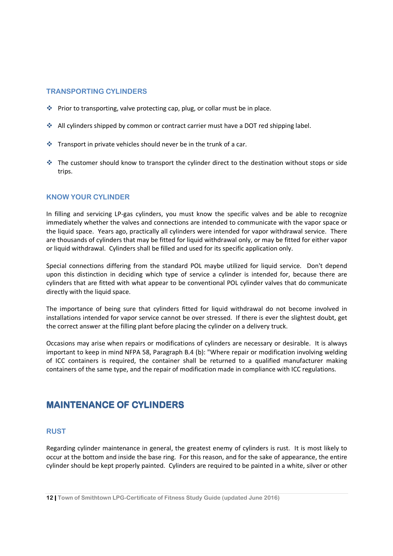### **TRANSPORTING CYLINDERS**

- $\cdot$  Prior to transporting, valve protecting cap, plug, or collar must be in place.
- All cylinders shipped by common or contract carrier must have a DOT red shipping label.
- $\cdot$  Transport in private vehicles should never be in the trunk of a car.
- The customer should know to transport the cylinder direct to the destination without stops or side trips.

# **KNOW YOUR CYLINDER**

In filling and servicing LP-gas cylinders, you must know the specific valves and be able to recognize immediately whether the valves and connections are intended to communicate with the vapor space or the liquid space. Years ago, practically all cylinders were intended for vapor withdrawal service. There are thousands of cylinders that may be fitted for liquid withdrawal only, or may be fitted for either vapor or liquid withdrawal. Cylinders shall be filled and used for its specific application only.

Special connections differing from the standard POL maybe utilized for liquid service. Don't depend upon this distinction in deciding which type of service a cylinder is intended for, because there are cylinders that are fitted with what appear to be conventional POL cylinder valves that do communicate directly with the liquid space.

The importance of being sure that cylinders fitted for liquid withdrawal do not become involved in installations intended for vapor service cannot be over stressed. If there is ever the slightest doubt, get the correct answer at the filling plant before placing the cylinder on a delivery truck.

Occasions may arise when repairs or modifications of cylinders are necessary or desirable. It is always important to keep in mind NFPA 58, Paragraph B.4 (b): "Where repair or modification involving welding of ICC containers is required, the container shall be returned to a qualified manufacturer making containers of the same type, and the repair of modification made in compliance with ICC regulations.

# **MAINTENANCE OF CYLINDERS**

### **RUST**

Regarding cylinder maintenance in general, the greatest enemy of cylinders is rust. It is most likely to occur at the bottom and inside the base ring. For this reason, and for the sake of appearance, the entire cylinder should be kept properly painted. Cylinders are required to be painted in a white, silver or other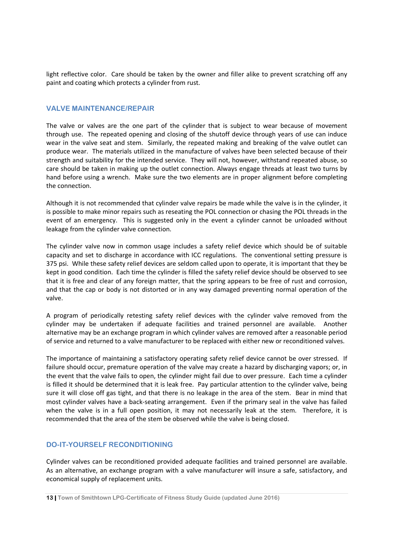light reflective color. Care should be taken by the owner and filler alike to prevent scratching off any paint and coating which protects a cylinder from rust.

### **VALVE MAINTENANCE/REPAIR**

The valve or valves are the one part of the cylinder that is subject to wear because of movement through use. The repeated opening and closing of the shutoff device through years of use can induce wear in the valve seat and stem. Similarly, the repeated making and breaking of the valve outlet can produce wear. The materials utilized in the manufacture of valves have been selected because of their strength and suitability for the intended service. They will not, however, withstand repeated abuse, so care should be taken in making up the outlet connection. Always engage threads at least two turns by hand before using a wrench. Make sure the two elements are in proper alignment before completing the connection.

Although it is not recommended that cylinder valve repairs be made while the valve is in the cylinder, it is possible to make minor repairs such as reseating the POL connection or chasing the POL threads in the event of an emergency. This is suggested only in the event a cylinder cannot be unloaded without leakage from the cylinder valve connection.

The cylinder valve now in common usage includes a safety relief device which should be of suitable capacity and set to discharge in accordance with ICC regulations. The conventional setting pressure is 375 psi. While these safety relief devices are seldom called upon to operate, it is important that they be kept in good condition. Each time the cylinder is filled the safety relief device should be observed to see that it is free and clear of any foreign matter, that the spring appears to be free of rust and corrosion, and that the cap or body is not distorted or in any way damaged preventing normal operation of the valve.

A program of periodically retesting safety relief devices with the cylinder valve removed from the cylinder may be undertaken if adequate facilities and trained personnel are available. Another alternative may be an exchange program in which cylinder valves are removed after a reasonable period of service and returned to a valve manufacturer to be replaced with either new or reconditioned valves.

The importance of maintaining a satisfactory operating safety relief device cannot be over stressed. If failure should occur, premature operation of the valve may create a hazard by discharging vapors; or, in the event that the valve fails to open, the cylinder might fail due to over pressure. Each time a cylinder is filled it should be determined that it is leak free. Pay particular attention to the cylinder valve, being sure it will close off gas tight, and that there is no leakage in the area of the stem. Bear in mind that most cylinder valves have a back-seating arrangement. Even if the primary seal in the valve has failed when the valve is in a full open position, it may not necessarily leak at the stem. Therefore, it is recommended that the area of the stem be observed while the valve is being closed.

# **DO-IT-YOURSELF RECONDITIONING**

Cylinder valves can be reconditioned provided adequate facilities and trained personnel are available. As an alternative, an exchange program with a valve manufacturer will insure a safe, satisfactory, and economical supply of replacement units.

**<sup>13|</sup> Town of Smithtown LPG-Certificate of Fitness Study Guide (updated June 2016)**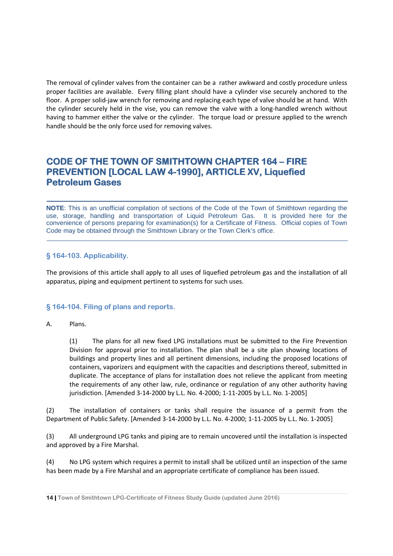The removal of cylinder valves from the container can be a rather awkward and costly procedure unless proper facilities are available. Every filling plant should have a cylinder vise securely anchored to the floor. A proper solid-jaw wrench for removing and replacing each type of valve should be at hand. With the cylinder securely held in the vise, you can remove the valve with a long-handled wrench without having to hammer either the valve or the cylinder. The torque load or pressure applied to the wrench handle should be the only force used for removing valves.

# **CODE OF THE TOWN OF SMITHTOWN CHAPTER 164 - FIRE PREVENTION [LOCAL LAW 4-1990], ARTICLE XV, Liquefied Petroleum Gases**

**NOTE**: This is an unofficial compilation of sections of the Code of the Town of Smithtown regarding the use, storage, handling and transportation of Liquid Petroleum Gas. It is provided here for the convenience of persons preparing for examination(s) for a Certificate of Fitness. Official copies of Town Code may be obtained through the Smithtown Library or the Town Clerk's office.

# **§ 164-103. Applicability.**

The provisions of this article shall apply to all uses of liquefied petroleum gas and the installation of all apparatus, piping and equipment pertinent to systems for such uses.

# **§ 164-104. Filing of plans and reports.**

# A. Plans.

(1) The plans for all new fixed LPG installations must be submitted to the Fire Prevention Division for approval prior to installation. The plan shall be a site plan showing locations of buildings and property lines and all pertinent dimensions, including the proposed locations of containers, vaporizers and equipment with the capacities and descriptions thereof, submitted in duplicate. The acceptance of plans for installation does not relieve the applicant from meeting the requirements of any other law, rule, ordinance or regulation of any other authority having jurisdiction. [Amended 3-14-2000 by L.L. No. 4-2000; 1-11-2005 by L.L. No. 1-2005]

(2) The installation of containers or tanks shall require the issuance of a permit from the Department of Public Safety. [Amended 3-14-2000 by L.L. No. 4-2000; 1-11-2005 by L.L. No. 1-2005]

(3) All underground LPG tanks and piping are to remain uncovered until the installation is inspected and approved by a Fire Marshal.

(4) No LPG system which requires a permit to install shall be utilized until an inspection of the same has been made by a Fire Marshal and an appropriate certificate of compliance has been issued.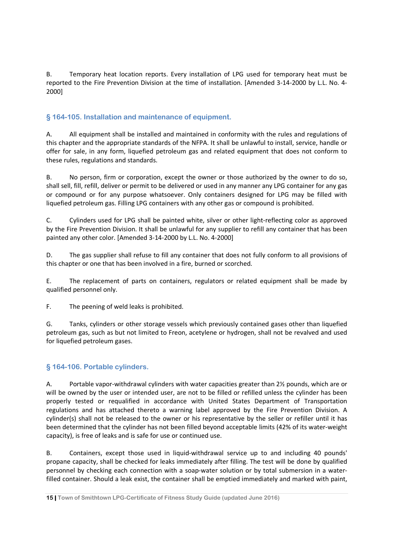B. Temporary heat location reports. Every installation of LPG used for temporary heat must be reported to the Fire Prevention Division at the time of installation. [Amended 3-14-2000 by L.L. No. 4- 2000]

# **§ 164-105. Installation and maintenance of equipment.**

A. All equipment shall be installed and maintained in conformity with the rules and regulations of this chapter and the appropriate standards of the NFPA. It shall be unlawful to install, service, handle or offer for sale, in any form, liquefied petroleum gas and related equipment that does not conform to these rules, regulations and standards.

B. No person, firm or corporation, except the owner or those authorized by the owner to do so, shall sell, fill, refill, deliver or permit to be delivered or used in any manner any LPG container for any gas or compound or for any purpose whatsoever. Only containers designed for LPG may be filled with liquefied petroleum gas. Filling LPG containers with any other gas or compound is prohibited.

C. Cylinders used for LPG shall be painted white, silver or other light-reflecting color as approved by the Fire Prevention Division. It shall be unlawful for any supplier to refill any container that has been painted any other color. [Amended 3-14-2000 by L.L. No. 4-2000]

D. The gas supplier shall refuse to fill any container that does not fully conform to all provisions of this chapter or one that has been involved in a fire, burned or scorched.

E. The replacement of parts on containers, regulators or related equipment shall be made by qualified personnel only.

F. The peening of weld leaks is prohibited.

G. Tanks, cylinders or other storage vessels which previously contained gases other than liquefied petroleum gas, such as but not limited to Freon, acetylene or hydrogen, shall not be revalved and used for liquefied petroleum gases.

# **§ 164-106. Portable cylinders.**

A. Portable vapor-withdrawal cylinders with water capacities greater than 2½ pounds, which are or will be owned by the user or intended user, are not to be filled or refilled unless the cylinder has been properly tested or requalified in accordance with United States Department of Transportation regulations and has attached thereto a warning label approved by the Fire Prevention Division. A cylinder(s) shall not be released to the owner or his representative by the seller or refiller until it has been determined that the cylinder has not been filled beyond acceptable limits (42% of its water-weight capacity), is free of leaks and is safe for use or continued use.

B. Containers, except those used in liquid-withdrawal service up to and including 40 pounds' propane capacity, shall be checked for leaks immediately after filling. The test will be done by qualified personnel by checking each connection with a soap-water solution or by total submersion in a waterfilled container. Should a leak exist, the container shall be emptied immediately and marked with paint,

**<sup>15|</sup> Town of Smithtown LPG-Certificate of Fitness Study Guide (updated June 2016)**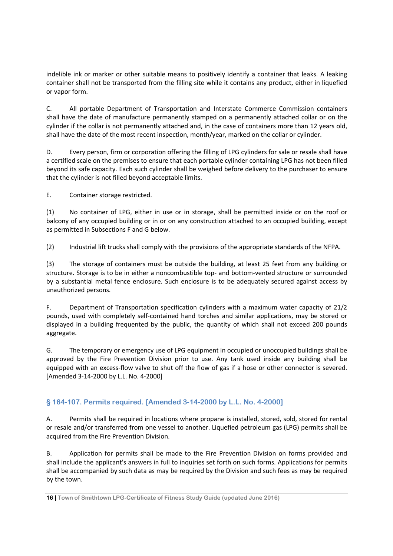indelible ink or marker or other suitable means to positively identify a container that leaks. A leaking container shall not be transported from the filling site while it contains any product, either in liquefied or vapor form.

C. All portable Department of Transportation and Interstate Commerce Commission containers shall have the date of manufacture permanently stamped on a permanently attached collar or on the cylinder if the collar is not permanently attached and, in the case of containers more than 12 years old, shall have the date of the most recent inspection, month/year, marked on the collar or cylinder.

D. Every person, firm or corporation offering the filling of LPG cylinders for sale or resale shall have a certified scale on the premises to ensure that each portable cylinder containing LPG has not been filled beyond its safe capacity. Each such cylinder shall be weighed before delivery to the purchaser to ensure that the cylinder is not filled beyond acceptable limits.

E. Container storage restricted.

(1) No container of LPG, either in use or in storage, shall be permitted inside or on the roof or balcony of any occupied building or in or on any construction attached to an occupied building, except as permitted in Subsections F and G below.

(2) Industrial lift trucks shall comply with the provisions of the appropriate standards of the NFPA.

(3) The storage of containers must be outside the building, at least 25 feet from any building or structure. Storage is to be in either a noncombustible top- and bottom-vented structure or surrounded by a substantial metal fence enclosure. Such enclosure is to be adequately secured against access by unauthorized persons.

F. Department of Transportation specification cylinders with a maximum water capacity of 21/2 pounds, used with completely self-contained hand torches and similar applications, may be stored or displayed in a building frequented by the public, the quantity of which shall not exceed 200 pounds aggregate.

G. The temporary or emergency use of LPG equipment in occupied or unoccupied buildings shall be approved by the Fire Prevention Division prior to use. Any tank used inside any building shall be equipped with an excess-flow valve to shut off the flow of gas if a hose or other connector is severed. [Amended 3-14-2000 by L.L. No. 4-2000]

# **§ 164-107. Permits required. [Amended 3-14-2000 by L.L. No. 4-2000]**

A. Permits shall be required in locations where propane is installed, stored, sold, stored for rental or resale and/or transferred from one vessel to another. Liquefied petroleum gas (LPG) permits shall be acquired from the Fire Prevention Division.

B. Application for permits shall be made to the Fire Prevention Division on forms provided and shall include the applicant's answers in full to inquiries set forth on such forms. Applications for permits shall be accompanied by such data as may be required by the Division and such fees as may be required by the town.

**<sup>16|</sup> Town of Smithtown LPG-Certificate of Fitness Study Guide (updated June 2016)**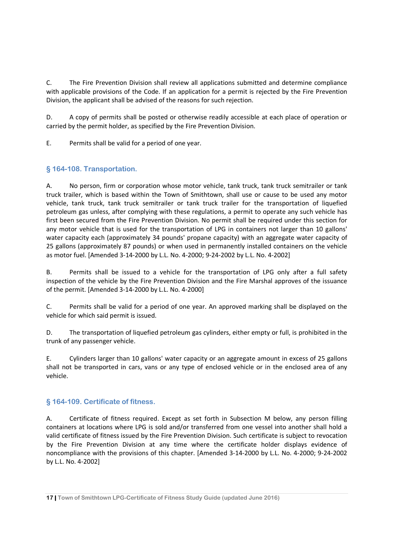C. The Fire Prevention Division shall review all applications submitted and determine compliance with applicable provisions of the Code. If an application for a permit is rejected by the Fire Prevention Division, the applicant shall be advised of the reasons for such rejection.

D. A copy of permits shall be posted or otherwise readily accessible at each place of operation or carried by the permit holder, as specified by the Fire Prevention Division.

E. Permits shall be valid for a period of one year.

# **§ 164-108. Transportation.**

A. No person, firm or corporation whose motor vehicle, tank truck, tank truck semitrailer or tank truck trailer, which is based within the Town of Smithtown, shall use or cause to be used any motor vehicle, tank truck, tank truck semitrailer or tank truck trailer for the transportation of liquefied petroleum gas unless, after complying with these regulations, a permit to operate any such vehicle has first been secured from the Fire Prevention Division. No permit shall be required under this section for any motor vehicle that is used for the transportation of LPG in containers not larger than 10 gallons' water capacity each (approximately 34 pounds' propane capacity) with an aggregate water capacity of 25 gallons (approximately 87 pounds) or when used in permanently installed containers on the vehicle as motor fuel. [Amended 3-14-2000 by L.L. No. 4-2000; 9-24-2002 by L.L. No. 4-2002]

B. Permits shall be issued to a vehicle for the transportation of LPG only after a full safety inspection of the vehicle by the Fire Prevention Division and the Fire Marshal approves of the issuance of the permit. [Amended 3-14-2000 by L.L. No. 4-2000]

C. Permits shall be valid for a period of one year. An approved marking shall be displayed on the vehicle for which said permit is issued.

D. The transportation of liquefied petroleum gas cylinders, either empty or full, is prohibited in the trunk of any passenger vehicle.

E. Cylinders larger than 10 gallons' water capacity or an aggregate amount in excess of 25 gallons shall not be transported in cars, vans or any type of enclosed vehicle or in the enclosed area of any vehicle.

# **§ 164-109. Certificate of fitness.**

A. Certificate of fitness required. Except as set forth in Subsection M below, any person filling containers at locations where LPG is sold and/or transferred from one vessel into another shall hold a valid certificate of fitness issued by the Fire Prevention Division. Such certificate is subject to revocation by the Fire Prevention Division at any time where the certificate holder displays evidence of noncompliance with the provisions of this chapter. [Amended 3-14-2000 by L.L. No. 4-2000; 9-24-2002 by L.L. No. 4-2002]

**<sup>17|</sup> Town of Smithtown LPG-Certificate of Fitness Study Guide (updated June 2016)**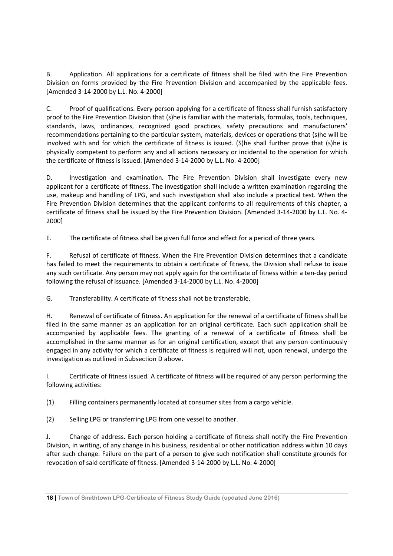B. Application. All applications for a certificate of fitness shall be filed with the Fire Prevention Division on forms provided by the Fire Prevention Division and accompanied by the applicable fees. [Amended 3-14-2000 by L.L. No. 4-2000]

C. Proof of qualifications. Every person applying for a certificate of fitness shall furnish satisfactory proof to the Fire Prevention Division that (s)he is familiar with the materials, formulas, tools, techniques, standards, laws, ordinances, recognized good practices, safety precautions and manufacturers' recommendations pertaining to the particular system, materials, devices or operations that (s)he will be involved with and for which the certificate of fitness is issued. (S)he shall further prove that (s)he is physically competent to perform any and all actions necessary or incidental to the operation for which the certificate of fitness is issued. [Amended 3-14-2000 by L.L. No. 4-2000]

D. Investigation and examination. The Fire Prevention Division shall investigate every new applicant for a certificate of fitness. The investigation shall include a written examination regarding the use, makeup and handling of LPG, and such investigation shall also include a practical test. When the Fire Prevention Division determines that the applicant conforms to all requirements of this chapter, a certificate of fitness shall be issued by the Fire Prevention Division. [Amended 3-14-2000 by L.L. No. 4- 2000]

E. The certificate of fitness shall be given full force and effect for a period of three years.

F. Refusal of certificate of fitness. When the Fire Prevention Division determines that a candidate has failed to meet the requirements to obtain a certificate of fitness, the Division shall refuse to issue any such certificate. Any person may not apply again for the certificate of fitness within a ten-day period following the refusal of issuance. [Amended 3-14-2000 by L.L. No. 4-2000]

G. Transferability. A certificate of fitness shall not be transferable.

H. Renewal of certificate of fitness. An application for the renewal of a certificate of fitness shall be filed in the same manner as an application for an original certificate. Each such application shall be accompanied by applicable fees. The granting of a renewal of a certificate of fitness shall be accomplished in the same manner as for an original certification, except that any person continuously engaged in any activity for which a certificate of fitness is required will not, upon renewal, undergo the investigation as outlined in Subsection D above.

I. Certificate of fitness issued. A certificate of fitness will be required of any person performing the following activities:

(1) Filling containers permanently located at consumer sites from a cargo vehicle.

(2) Selling LPG or transferring LPG from one vessel to another.

J. Change of address. Each person holding a certificate of fitness shall notify the Fire Prevention Division, in writing, of any change in his business, residential or other notification address within 10 days after such change. Failure on the part of a person to give such notification shall constitute grounds for revocation of said certificate of fitness. [Amended 3-14-2000 by L.L. No. 4-2000]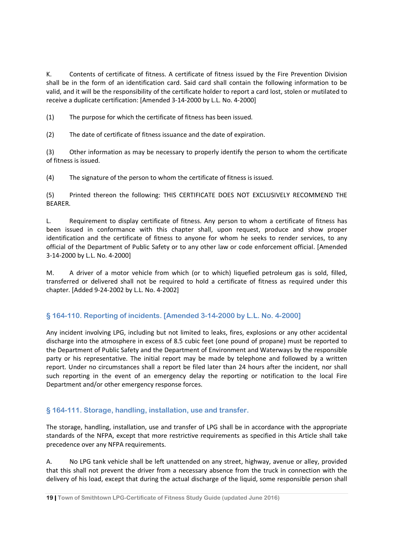K. Contents of certificate of fitness. A certificate of fitness issued by the Fire Prevention Division shall be in the form of an identification card. Said card shall contain the following information to be valid, and it will be the responsibility of the certificate holder to report a card lost, stolen or mutilated to receive a duplicate certification: [Amended 3-14-2000 by L.L. No. 4-2000]

(1) The purpose for which the certificate of fitness has been issued.

(2) The date of certificate of fitness issuance and the date of expiration.

(3) Other information as may be necessary to properly identify the person to whom the certificate of fitness is issued.

(4) The signature of the person to whom the certificate of fitness is issued.

(5) Printed thereon the following: THIS CERTIFICATE DOES NOT EXCLUSIVELY RECOMMEND THE BEARER.

L. Requirement to display certificate of fitness. Any person to whom a certificate of fitness has been issued in conformance with this chapter shall, upon request, produce and show proper identification and the certificate of fitness to anyone for whom he seeks to render services, to any official of the Department of Public Safety or to any other law or code enforcement official. [Amended 3-14-2000 by L.L. No. 4-2000]

M. A driver of a motor vehicle from which (or to which) liquefied petroleum gas is sold, filled, transferred or delivered shall not be required to hold a certificate of fitness as required under this chapter. [Added 9-24-2002 by L.L. No. 4-2002]

# **§ 164-110. Reporting of incidents. [Amended 3-14-2000 by L.L. No. 4-2000]**

Any incident involving LPG, including but not limited to leaks, fires, explosions or any other accidental discharge into the atmosphere in excess of 8.5 cubic feet (one pound of propane) must be reported to the Department of Public Safety and the Department of Environment and Waterways by the responsible party or his representative. The initial report may be made by telephone and followed by a written report. Under no circumstances shall a report be filed later than 24 hours after the incident, nor shall such reporting in the event of an emergency delay the reporting or notification to the local Fire Department and/or other emergency response forces.

# **§ 164-111. Storage, handling, installation, use and transfer.**

The storage, handling, installation, use and transfer of LPG shall be in accordance with the appropriate standards of the NFPA, except that more restrictive requirements as specified in this Article shall take precedence over any NFPA requirements.

A. No LPG tank vehicle shall be left unattended on any street, highway, avenue or alley, provided that this shall not prevent the driver from a necessary absence from the truck in connection with the delivery of his load, except that during the actual discharge of the liquid, some responsible person shall